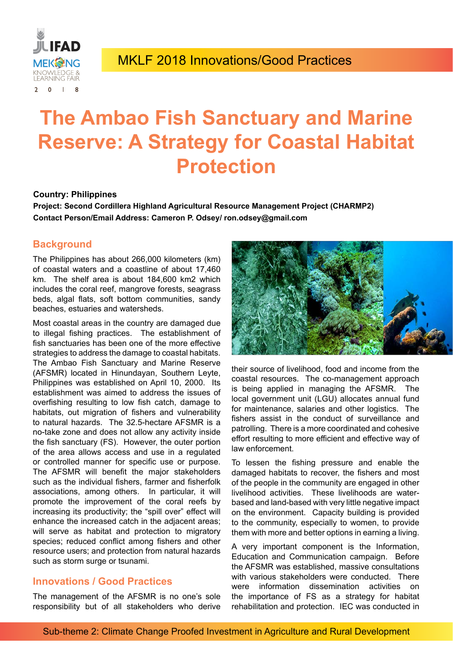

# **The Ambao Fish Sanctuary and Marine Reserve: A Strategy for Coastal Habitat Protection**

#### **Country: Philippines**

**Project: Second Cordillera Highland Agricultural Resource Management Project (CHARMP2) Contact Person/Email Address: Cameron P. Odsey/ ron.odsey@gmail.com**

### **Background**

The Philippines has about 266,000 kilometers (km) of coastal waters and a coastline of about 17,460 km. The shelf area is about 184,600 km2 which includes the coral reef, mangrove forests, seagrass beds, algal flats, soft bottom communities, sandy beaches, estuaries and watersheds.

Most coastal areas in the country are damaged due to illegal fishing practices. The establishment of fish sanctuaries has been one of the more effective strategies to address the damage to coastal habitats. The Ambao Fish Sanctuary and Marine Reserve (AFSMR) located in Hinundayan, Southern Leyte, Philippines was established on April 10, 2000. Its establishment was aimed to address the issues of overfishing resulting to low fish catch, damage to habitats, out migration of fishers and vulnerability to natural hazards. The 32.5-hectare AFSMR is a no-take zone and does not allow any activity inside the fish sanctuary (FS). However, the outer portion of the area allows access and use in a regulated or controlled manner for specific use or purpose. The AFSMR will benefit the major stakeholders such as the individual fishers, farmer and fisherfolk associations, among others. In particular, it will promote the improvement of the coral reefs by increasing its productivity; the "spill over" effect will enhance the increased catch in the adjacent areas; will serve as habitat and protection to migratory species; reduced conflict among fishers and other resource users; and protection from natural hazards such as storm surge or tsunami.

### **Innovations / Good Practices**

The management of the AFSMR is no one's sole responsibility but of all stakeholders who derive



their source of livelihood, food and income from the coastal resources. The co-management approach is being applied in managing the AFSMR. The local government unit (LGU) allocates annual fund for maintenance, salaries and other logistics. The fishers assist in the conduct of surveillance and patrolling. There is a more coordinated and cohesive effort resulting to more efficient and effective way of law enforcement.

To lessen the fishing pressure and enable the damaged habitats to recover, the fishers and most of the people in the community are engaged in other livelihood activities. These livelihoods are waterbased and land-based with very little negative impact on the environment. Capacity building is provided to the community, especially to women, to provide them with more and better options in earning a living.

A very important component is the Information, Education and Communication campaign. Before the AFSMR was established, massive consultations with various stakeholders were conducted. There were information dissemination activities on the importance of FS as a strategy for habitat rehabilitation and protection. IEC was conducted in